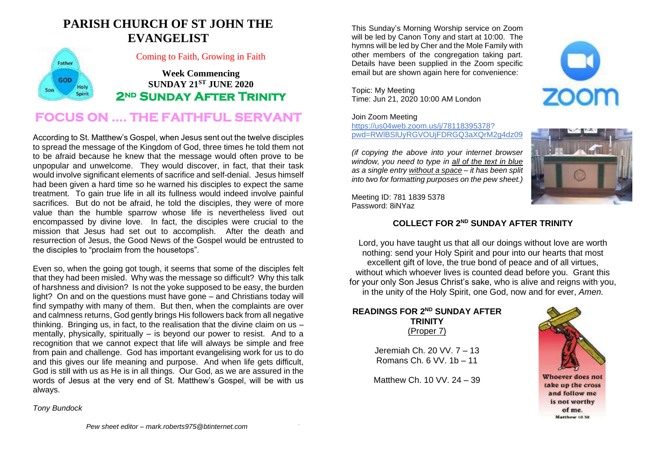## **PARISH CHURCH OF ST JOHN THE EVANGELIST**



### Coming to Faith, Growing in Faith

**Week Commencing SUNDAY 21ST JUNE 2020 2nd Sunday After Trinity** 

## **FOCUS ON …. THE FAITHFUL SERVANT**

According to St. Matthew's Gospel, when Jesus sent out the twelve disciples to spread the message of the Kingdom of God, three times he told them not to be afraid because he knew that the message would often prove to be unpopular and unwelcome. They would discover, in fact, that their task would involve significant elements of sacrifice and self-denial. Jesus himself had been given a hard time so he warned his disciples to expect the same treatment. To gain true life in all its fullness would indeed involve painful sacrifices. But do not be afraid, he told the disciples, they were of more value than the humble sparrow whose life is nevertheless lived out encompassed by divine love. In fact, the disciples were crucial to the mission that Jesus had set out to accomplish. After the death and resurrection of Jesus, the Good News of the Gospel would be entrusted to the disciples to "proclaim from the housetops".

Even so, when the going got tough, it seems that some of the disciples felt that they had been misled. Why was the message so difficult? Why this talk of harshness and division? Is not the yoke supposed to be easy, the burden light? On and on the questions must have gone – and Christians today will find sympathy with many of them. But then, when the complaints are over and calmness returns, God gently brings His followers back from all negative thinking. Bringing us, in fact, to the realisation that the divine claim on us  $$ mentally, physically, spiritually – is beyond our power to resist. And to a recognition that we cannot expect that life will always be simple and free from pain and challenge. God has important evangelising work for us to do and this gives our life meaning and purpose. And when life gets difficult, God is still with us as He is in all things. Our God, as we are assured in the words of Jesus at the very end of St. Matthew's Gospel, will be with us always.

This Sunday's Morning Worship service on Zoom will be led by Canon Tony and start at 10:00. The hymns will be led by Cher and the Mole Family with other members of the congregation taking part. Details have been supplied in the Zoom specific email but are shown again here for convenience:

Topic: My Meeting Time: Jun 21, 2020 10:00 AM London

### Join Zoom Meeting

[https://us04web.zoom.us/j/78118395378?](https://us04web.zoom.us/j/78118395378) pwd=RWlBSlUyRGVOUjFDRGQ3aXQrM2g4dz09

*(if copying the above into your internet browser window, you need to type in all of the text in blue as a single entry without a space – it has been split into two for formatting purposes on the pew sheet.)*



Meeting ID: 781 1839 5378 Password: 8iNYaz

## **COLLECT FOR 2 ND SUNDAY AFTER TRINITY**

Lord, you have taught us that all our doings without love are worth nothing: send your Holy Spirit and pour into our hearts that most excellent gift of love, the true bond of peace and of all virtues, without which whoever lives is counted dead before you. Grant this for your only Son Jesus Christ's sake, who is alive and reigns with you, in the unity of the Holy Spirit, one God, now and for ever, *Amen*.

#### **READINGS FOR 2<sup>ND</sup> SUNDAY AFTER TRINITY** (Proper 7)

Jeremiah Ch. 20 VV. 7 – 13 Romans Ch. 6 VV. 1b – 11

Matthew Ch. 10 VV. 24 – 39



Whoever does not take up the cross and follow me is not worthy of me. Matthew 10.38

*Tony Bundock*